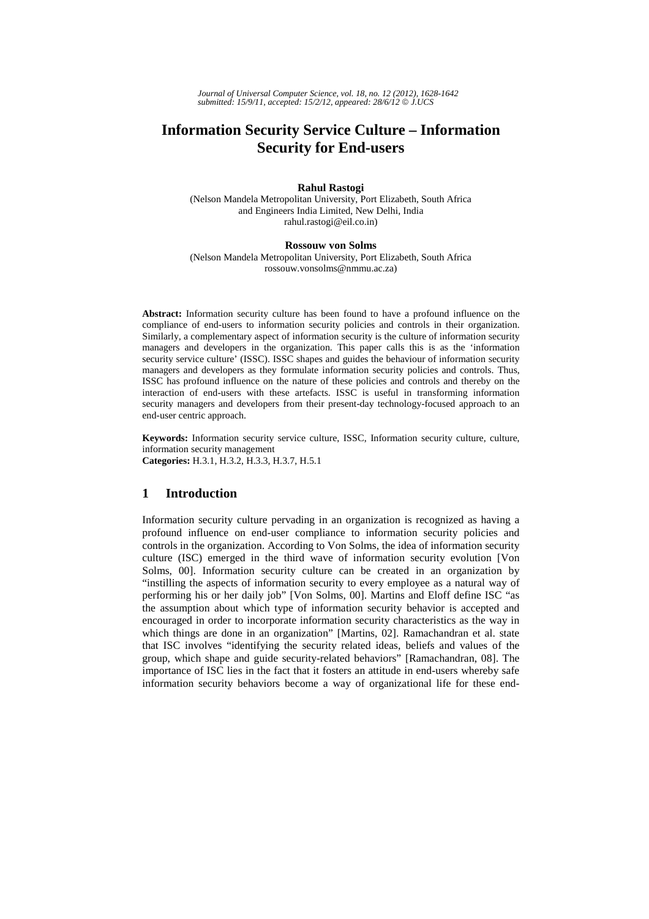*Journal of Universal Computer Science, vol. 18, no. 12 (2012), 1628-1642 submitted: 15/9/11, accepted: 15/2/12, appeared: 28/6/12* © *J.UCS*

# **Information Security Service Culture – Information Security for End-users**

#### **Rahul Rastogi**

(Nelson Mandela Metropolitan University, Port Elizabeth, South Africa and Engineers India Limited, New Delhi, India rahul.rastogi@eil.co.in)

#### **Rossouw von Solms**

(Nelson Mandela Metropolitan University, Port Elizabeth, South Africa rossouw.vonsolms@nmmu.ac.za)

**Abstract:** Information security culture has been found to have a profound influence on the compliance of end-users to information security policies and controls in their organization. Similarly, a complementary aspect of information security is the culture of information security managers and developers in the organization. This paper calls this is as the 'information security service culture' (ISSC). ISSC shapes and guides the behaviour of information security managers and developers as they formulate information security policies and controls. Thus, ISSC has profound influence on the nature of these policies and controls and thereby on the interaction of end-users with these artefacts. ISSC is useful in transforming information security managers and developers from their present-day technology-focused approach to an end-user centric approach.

**Keywords:** Information security service culture, ISSC, Information security culture, culture, information security management **Categories:** H.3.1, H.3.2, H.3.3, H.3.7, H.5.1

### **1 Introduction**

Information security culture pervading in an organization is recognized as having a profound influence on end-user compliance to information security policies and controls in the organization. According to Von Solms, the idea of information security culture (ISC) emerged in the third wave of information security evolution [Von Solms, 00]. Information security culture can be created in an organization by "instilling the aspects of information security to every employee as a natural way of performing his or her daily job" [Von Solms, 00]. Martins and Eloff define ISC "as the assumption about which type of information security behavior is accepted and encouraged in order to incorporate information security characteristics as the way in which things are done in an organization" [Martins, 02]. Ramachandran et al. state that ISC involves "identifying the security related ideas, beliefs and values of the group, which shape and guide security-related behaviors" [Ramachandran, 08]. The importance of ISC lies in the fact that it fosters an attitude in end-users whereby safe information security behaviors become a way of organizational life for these end-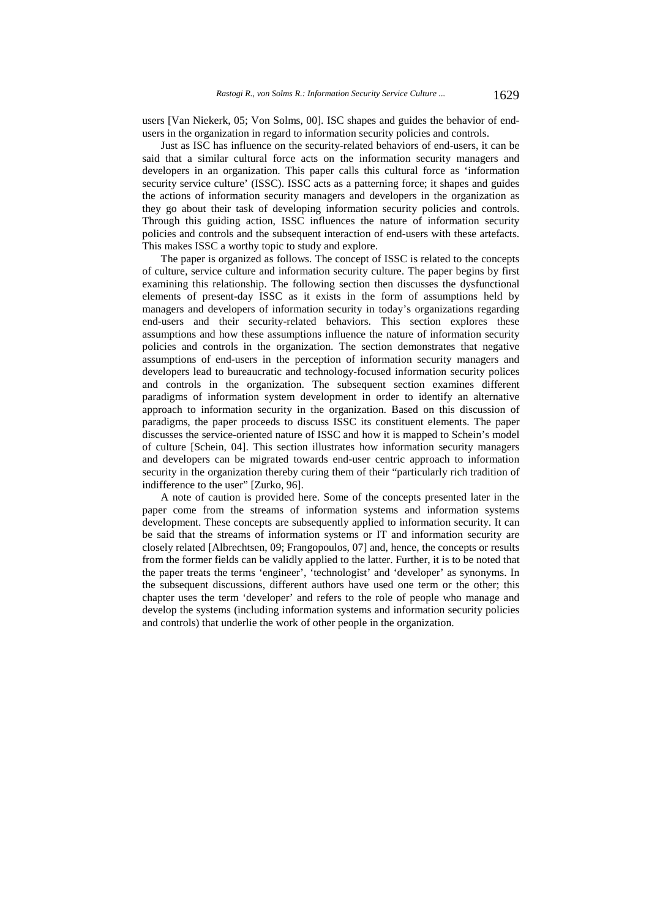users [Van Niekerk, 05; Von Solms, 00]. ISC shapes and guides the behavior of endusers in the organization in regard to information security policies and controls.

Just as ISC has influence on the security-related behaviors of end-users, it can be said that a similar cultural force acts on the information security managers and developers in an organization. This paper calls this cultural force as 'information security service culture' (ISSC). ISSC acts as a patterning force; it shapes and guides the actions of information security managers and developers in the organization as they go about their task of developing information security policies and controls. Through this guiding action, ISSC influences the nature of information security policies and controls and the subsequent interaction of end-users with these artefacts. This makes ISSC a worthy topic to study and explore.

The paper is organized as follows. The concept of ISSC is related to the concepts of culture, service culture and information security culture. The paper begins by first examining this relationship. The following section then discusses the dysfunctional elements of present-day ISSC as it exists in the form of assumptions held by managers and developers of information security in today's organizations regarding end-users and their security-related behaviors. This section explores these assumptions and how these assumptions influence the nature of information security policies and controls in the organization. The section demonstrates that negative assumptions of end-users in the perception of information security managers and developers lead to bureaucratic and technology-focused information security polices and controls in the organization. The subsequent section examines different paradigms of information system development in order to identify an alternative approach to information security in the organization. Based on this discussion of paradigms, the paper proceeds to discuss ISSC its constituent elements. The paper discusses the service-oriented nature of ISSC and how it is mapped to Schein's model of culture [Schein, 04]. This section illustrates how information security managers and developers can be migrated towards end-user centric approach to information security in the organization thereby curing them of their "particularly rich tradition of indifference to the user" [Zurko, 96].

A note of caution is provided here. Some of the concepts presented later in the paper come from the streams of information systems and information systems development. These concepts are subsequently applied to information security. It can be said that the streams of information systems or IT and information security are closely related [Albrechtsen, 09; Frangopoulos, 07] and, hence, the concepts or results from the former fields can be validly applied to the latter. Further, it is to be noted that the paper treats the terms 'engineer', 'technologist' and 'developer' as synonyms. In the subsequent discussions, different authors have used one term or the other; this chapter uses the term 'developer' and refers to the role of people who manage and develop the systems (including information systems and information security policies and controls) that underlie the work of other people in the organization.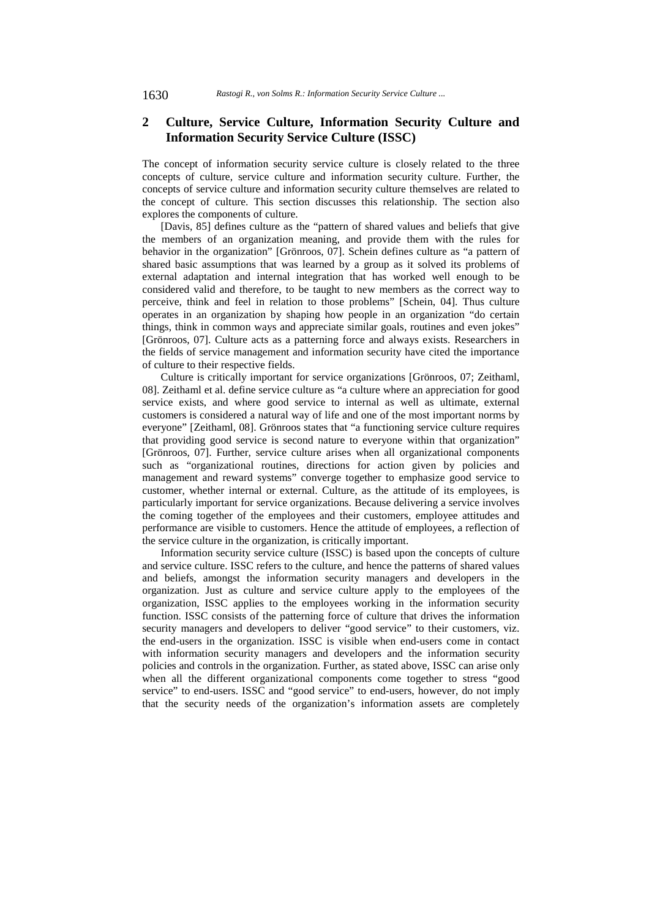### **2 Culture, Service Culture, Information Security Culture and Information Security Service Culture (ISSC)**

The concept of information security service culture is closely related to the three concepts of culture, service culture and information security culture. Further, the concepts of service culture and information security culture themselves are related to the concept of culture. This section discusses this relationship. The section also explores the components of culture.

[Davis, 85] defines culture as the "pattern of shared values and beliefs that give the members of an organization meaning, and provide them with the rules for behavior in the organization" [Grönroos, 07]. Schein defines culture as "a pattern of shared basic assumptions that was learned by a group as it solved its problems of external adaptation and internal integration that has worked well enough to be considered valid and therefore, to be taught to new members as the correct way to perceive, think and feel in relation to those problems" [Schein, 04]. Thus culture operates in an organization by shaping how people in an organization "do certain things, think in common ways and appreciate similar goals, routines and even jokes" [Grönroos, 07]. Culture acts as a patterning force and always exists. Researchers in the fields of service management and information security have cited the importance of culture to their respective fields.

Culture is critically important for service organizations [Grönroos, 07; Zeithaml, 08]. Zeithaml et al. define service culture as "a culture where an appreciation for good service exists, and where good service to internal as well as ultimate, external customers is considered a natural way of life and one of the most important norms by everyone" [Zeithaml, 08]. Grönroos states that "a functioning service culture requires that providing good service is second nature to everyone within that organization" [Grönroos, 07]. Further, service culture arises when all organizational components such as "organizational routines, directions for action given by policies and management and reward systems" converge together to emphasize good service to customer, whether internal or external. Culture, as the attitude of its employees, is particularly important for service organizations. Because delivering a service involves the coming together of the employees and their customers, employee attitudes and performance are visible to customers. Hence the attitude of employees, a reflection of the service culture in the organization, is critically important.

Information security service culture (ISSC) is based upon the concepts of culture and service culture. ISSC refers to the culture, and hence the patterns of shared values and beliefs, amongst the information security managers and developers in the organization. Just as culture and service culture apply to the employees of the organization, ISSC applies to the employees working in the information security function. ISSC consists of the patterning force of culture that drives the information security managers and developers to deliver "good service" to their customers, viz. the end-users in the organization. ISSC is visible when end-users come in contact with information security managers and developers and the information security policies and controls in the organization. Further, as stated above, ISSC can arise only when all the different organizational components come together to stress "good service" to end-users. ISSC and "good service" to end-users, however, do not imply that the security needs of the organization's information assets are completely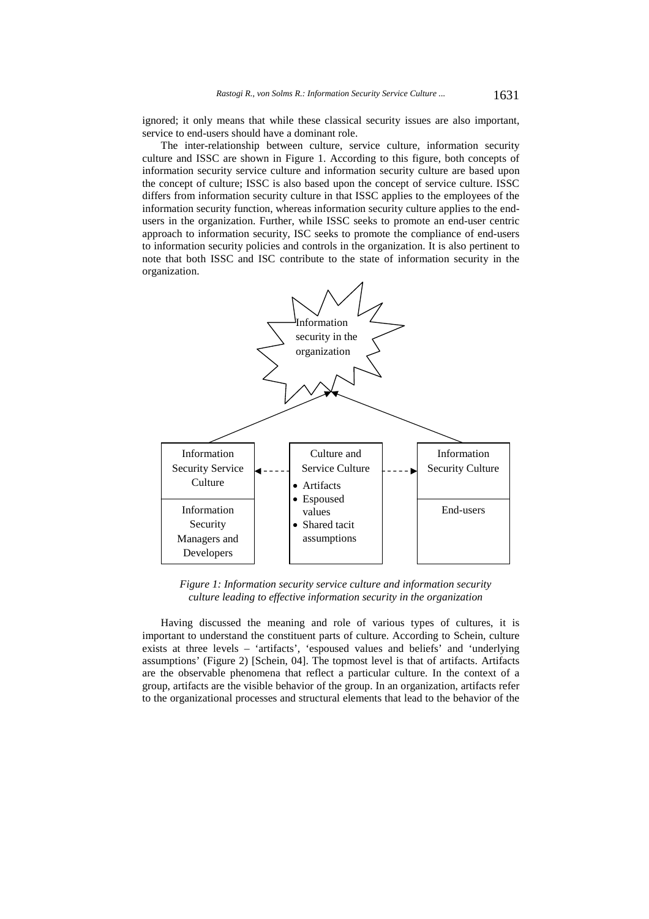ignored; it only means that while these classical security issues are also important, service to end-users should have a dominant role.

The inter-relationship between culture, service culture, information security culture and ISSC are shown in Figure 1. According to this figure, both concepts of information security service culture and information security culture are based upon the concept of culture; ISSC is also based upon the concept of service culture. ISSC differs from information security culture in that ISSC applies to the employees of the information security function, whereas information security culture applies to the endusers in the organization. Further, while ISSC seeks to promote an end-user centric approach to information security, ISC seeks to promote the compliance of end-users to information security policies and controls in the organization. It is also pertinent to note that both ISSC and ISC contribute to the state of information security in the organization.



*Figure 1: Information security service culture and information security culture leading to effective information security in the organization* 

Having discussed the meaning and role of various types of cultures, it is important to understand the constituent parts of culture. According to Schein, culture exists at three levels – 'artifacts', 'espoused values and beliefs' and 'underlying assumptions' (Figure 2) [Schein, 04]. The topmost level is that of artifacts. Artifacts are the observable phenomena that reflect a particular culture. In the context of a group, artifacts are the visible behavior of the group. In an organization, artifacts refer to the organizational processes and structural elements that lead to the behavior of the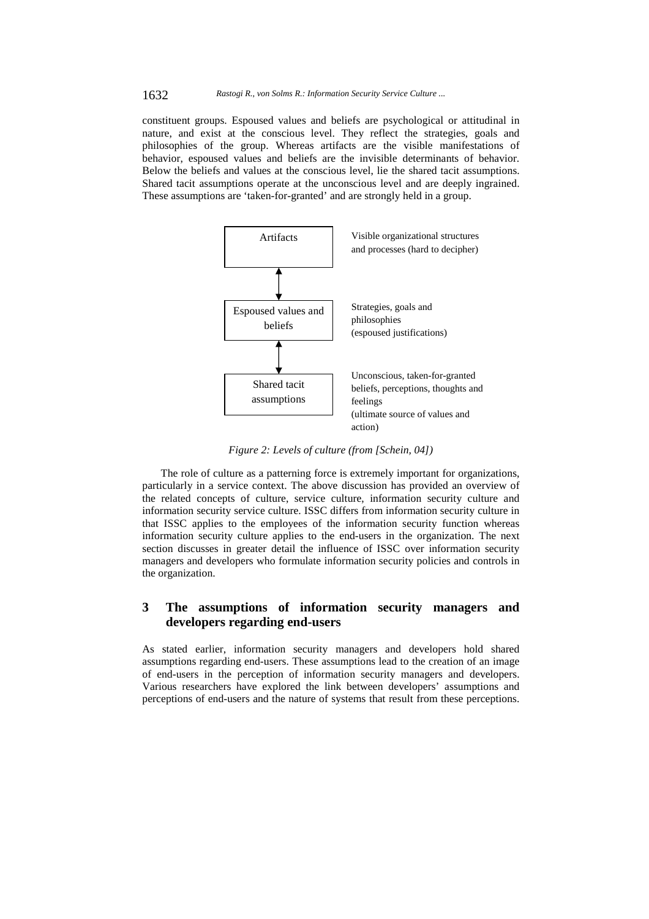1632 *Rastogi R., von Solms R.: Information Security Service Culture ...*

constituent groups. Espoused values and beliefs are psychological or attitudinal in nature, and exist at the conscious level. They reflect the strategies, goals and philosophies of the group. Whereas artifacts are the visible manifestations of behavior, espoused values and beliefs are the invisible determinants of behavior. Below the beliefs and values at the conscious level, lie the shared tacit assumptions. Shared tacit assumptions operate at the unconscious level and are deeply ingrained. These assumptions are 'taken-for-granted' and are strongly held in a group.



*Figure 2: Levels of culture (from [Schein, 04])*

The role of culture as a patterning force is extremely important for organizations, particularly in a service context. The above discussion has provided an overview of the related concepts of culture, service culture, information security culture and information security service culture. ISSC differs from information security culture in that ISSC applies to the employees of the information security function whereas information security culture applies to the end-users in the organization. The next section discusses in greater detail the influence of ISSC over information security managers and developers who formulate information security policies and controls in the organization.

## **3 The assumptions of information security managers and developers regarding end-users**

As stated earlier, information security managers and developers hold shared assumptions regarding end-users. These assumptions lead to the creation of an image of end-users in the perception of information security managers and developers. Various researchers have explored the link between developers' assumptions and perceptions of end-users and the nature of systems that result from these perceptions.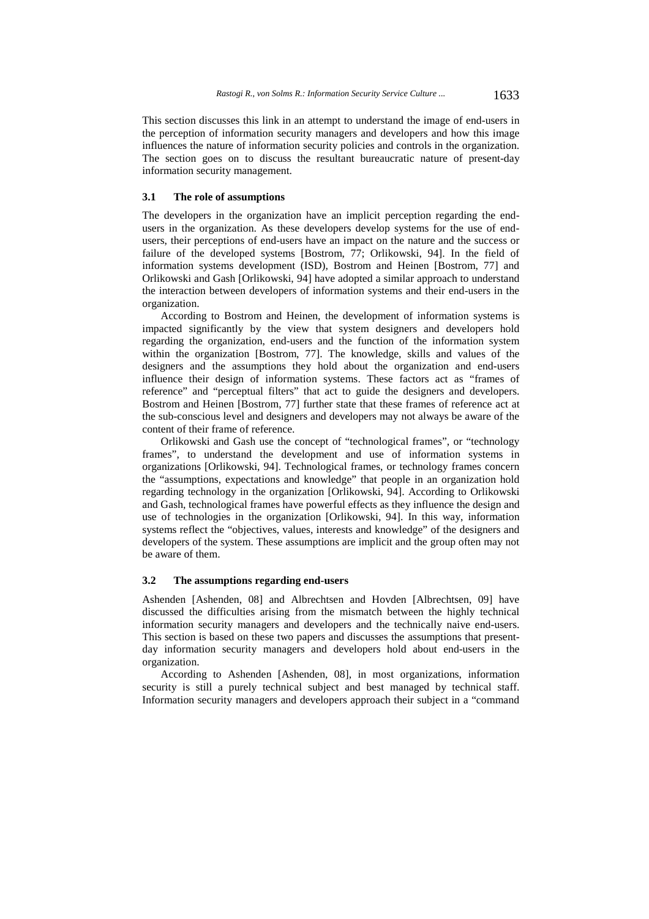This section discusses this link in an attempt to understand the image of end-users in the perception of information security managers and developers and how this image influences the nature of information security policies and controls in the organization. The section goes on to discuss the resultant bureaucratic nature of present-day information security management.

### **3.1 The role of assumptions**

The developers in the organization have an implicit perception regarding the endusers in the organization. As these developers develop systems for the use of endusers, their perceptions of end-users have an impact on the nature and the success or failure of the developed systems [Bostrom, 77; Orlikowski, 94]. In the field of information systems development (ISD), Bostrom and Heinen [Bostrom, 77] and Orlikowski and Gash [Orlikowski, 94] have adopted a similar approach to understand the interaction between developers of information systems and their end-users in the organization.

According to Bostrom and Heinen, the development of information systems is impacted significantly by the view that system designers and developers hold regarding the organization, end-users and the function of the information system within the organization [Bostrom, 77]. The knowledge, skills and values of the designers and the assumptions they hold about the organization and end-users influence their design of information systems. These factors act as "frames of reference" and "perceptual filters" that act to guide the designers and developers. Bostrom and Heinen [Bostrom, 77] further state that these frames of reference act at the sub-conscious level and designers and developers may not always be aware of the content of their frame of reference.

Orlikowski and Gash use the concept of "technological frames", or "technology frames", to understand the development and use of information systems in organizations [Orlikowski, 94]. Technological frames, or technology frames concern the "assumptions, expectations and knowledge" that people in an organization hold regarding technology in the organization [Orlikowski, 94]. According to Orlikowski and Gash, technological frames have powerful effects as they influence the design and use of technologies in the organization [Orlikowski, 94]. In this way, information systems reflect the "objectives, values, interests and knowledge" of the designers and developers of the system. These assumptions are implicit and the group often may not be aware of them.

#### **3.2 The assumptions regarding end-users**

Ashenden [Ashenden, 08] and Albrechtsen and Hovden [Albrechtsen, 09] have discussed the difficulties arising from the mismatch between the highly technical information security managers and developers and the technically naive end-users. This section is based on these two papers and discusses the assumptions that presentday information security managers and developers hold about end-users in the organization.

According to Ashenden [Ashenden, 08], in most organizations, information security is still a purely technical subject and best managed by technical staff. Information security managers and developers approach their subject in a "command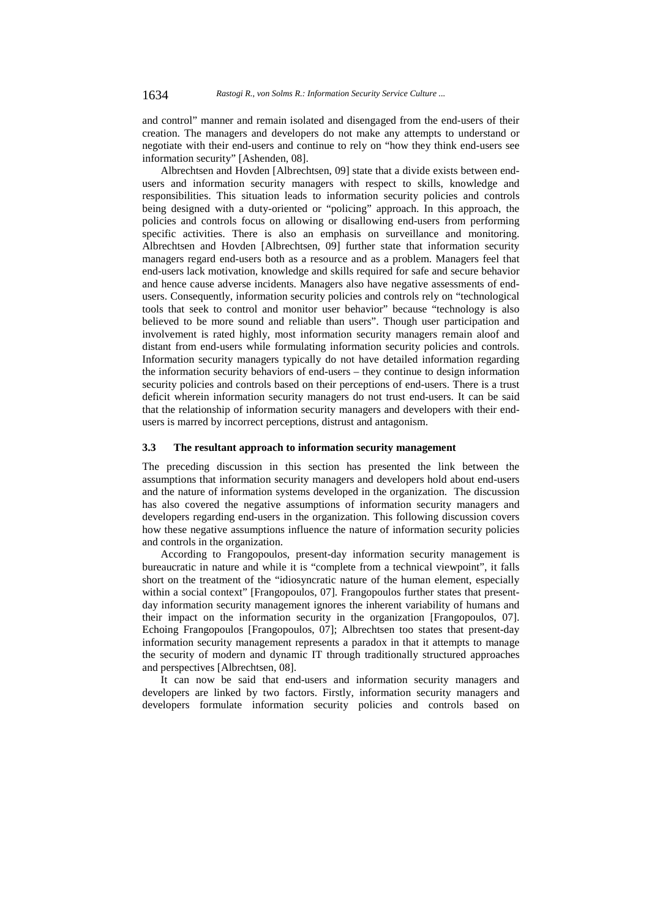and control" manner and remain isolated and disengaged from the end-users of their creation. The managers and developers do not make any attempts to understand or negotiate with their end-users and continue to rely on "how they think end-users see information security" [Ashenden, 08].

Albrechtsen and Hovden [Albrechtsen, 09] state that a divide exists between endusers and information security managers with respect to skills, knowledge and responsibilities. This situation leads to information security policies and controls being designed with a duty-oriented or "policing" approach. In this approach, the policies and controls focus on allowing or disallowing end-users from performing specific activities. There is also an emphasis on surveillance and monitoring. Albrechtsen and Hovden [Albrechtsen, 09] further state that information security managers regard end-users both as a resource and as a problem. Managers feel that end-users lack motivation, knowledge and skills required for safe and secure behavior and hence cause adverse incidents. Managers also have negative assessments of endusers. Consequently, information security policies and controls rely on "technological tools that seek to control and monitor user behavior" because "technology is also believed to be more sound and reliable than users". Though user participation and involvement is rated highly, most information security managers remain aloof and distant from end-users while formulating information security policies and controls. Information security managers typically do not have detailed information regarding the information security behaviors of end-users – they continue to design information security policies and controls based on their perceptions of end-users. There is a trust deficit wherein information security managers do not trust end-users. It can be said that the relationship of information security managers and developers with their endusers is marred by incorrect perceptions, distrust and antagonism.

#### **3.3 The resultant approach to information security management**

The preceding discussion in this section has presented the link between the assumptions that information security managers and developers hold about end-users and the nature of information systems developed in the organization. The discussion has also covered the negative assumptions of information security managers and developers regarding end-users in the organization. This following discussion covers how these negative assumptions influence the nature of information security policies and controls in the organization.

According to Frangopoulos, present-day information security management is bureaucratic in nature and while it is "complete from a technical viewpoint", it falls short on the treatment of the "idiosyncratic nature of the human element, especially within a social context" [Frangopoulos, 07]. Frangopoulos further states that presentday information security management ignores the inherent variability of humans and their impact on the information security in the organization [Frangopoulos, 07]. Echoing Frangopoulos [Frangopoulos, 07]; Albrechtsen too states that present-day information security management represents a paradox in that it attempts to manage the security of modern and dynamic IT through traditionally structured approaches and perspectives [Albrechtsen, 08].

It can now be said that end-users and information security managers and developers are linked by two factors. Firstly, information security managers and developers formulate information security policies and controls based on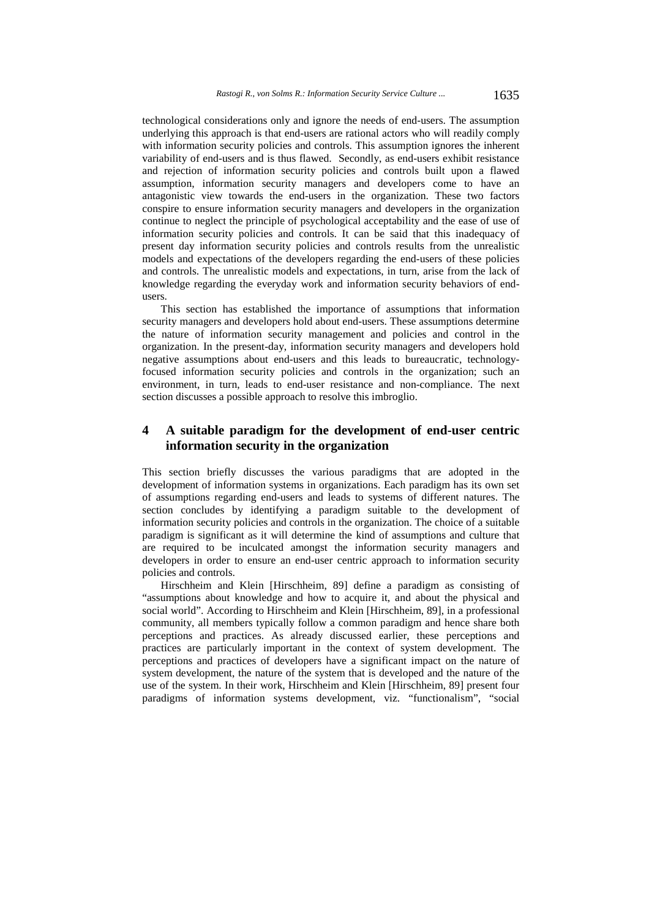technological considerations only and ignore the needs of end-users. The assumption underlying this approach is that end-users are rational actors who will readily comply with information security policies and controls. This assumption ignores the inherent variability of end-users and is thus flawed. Secondly, as end-users exhibit resistance and rejection of information security policies and controls built upon a flawed assumption, information security managers and developers come to have an antagonistic view towards the end-users in the organization. These two factors conspire to ensure information security managers and developers in the organization continue to neglect the principle of psychological acceptability and the ease of use of information security policies and controls. It can be said that this inadequacy of present day information security policies and controls results from the unrealistic models and expectations of the developers regarding the end-users of these policies and controls. The unrealistic models and expectations, in turn, arise from the lack of knowledge regarding the everyday work and information security behaviors of endusers.

This section has established the importance of assumptions that information security managers and developers hold about end-users. These assumptions determine the nature of information security management and policies and control in the organization. In the present-day, information security managers and developers hold negative assumptions about end-users and this leads to bureaucratic, technologyfocused information security policies and controls in the organization; such an environment, in turn, leads to end-user resistance and non-compliance. The next section discusses a possible approach to resolve this imbroglio.

## **4 A suitable paradigm for the development of end-user centric information security in the organization**

This section briefly discusses the various paradigms that are adopted in the development of information systems in organizations. Each paradigm has its own set of assumptions regarding end-users and leads to systems of different natures. The section concludes by identifying a paradigm suitable to the development of information security policies and controls in the organization. The choice of a suitable paradigm is significant as it will determine the kind of assumptions and culture that are required to be inculcated amongst the information security managers and developers in order to ensure an end-user centric approach to information security policies and controls.

Hirschheim and Klein [Hirschheim, 89] define a paradigm as consisting of "assumptions about knowledge and how to acquire it, and about the physical and social world". According to Hirschheim and Klein [Hirschheim, 89], in a professional community, all members typically follow a common paradigm and hence share both perceptions and practices. As already discussed earlier, these perceptions and practices are particularly important in the context of system development. The perceptions and practices of developers have a significant impact on the nature of system development, the nature of the system that is developed and the nature of the use of the system. In their work, Hirschheim and Klein [Hirschheim, 89] present four paradigms of information systems development, viz. "functionalism", "social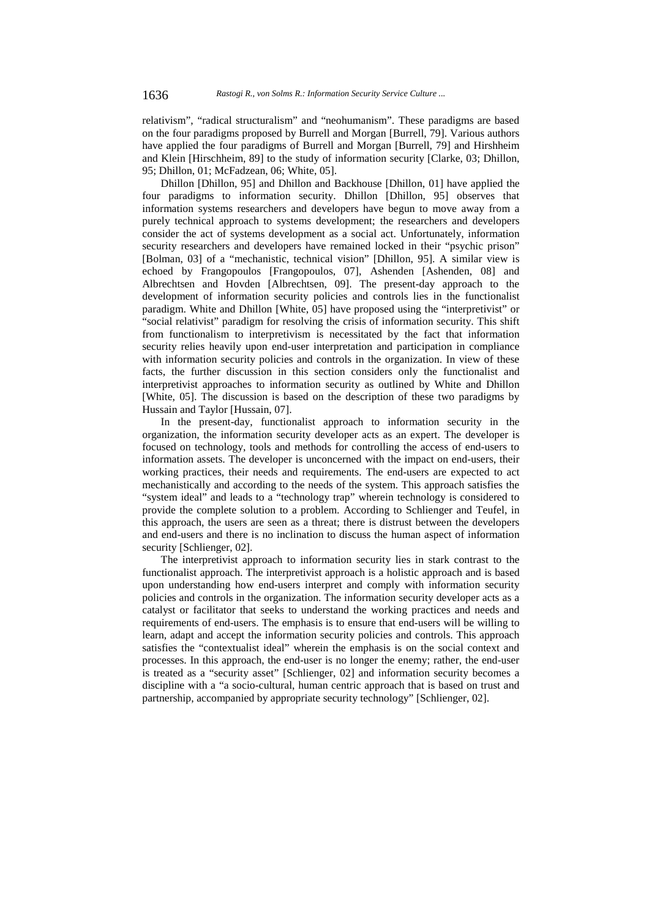relativism", "radical structuralism" and "neohumanism". These paradigms are based on the four paradigms proposed by Burrell and Morgan [Burrell, 79]. Various authors have applied the four paradigms of Burrell and Morgan [Burrell, 79] and Hirshheim and Klein [Hirschheim, 89] to the study of information security [Clarke, 03; Dhillon, 95; Dhillon, 01; McFadzean, 06; White, 05].

Dhillon [Dhillon, 95] and Dhillon and Backhouse [Dhillon, 01] have applied the four paradigms to information security. Dhillon [Dhillon, 95] observes that information systems researchers and developers have begun to move away from a purely technical approach to systems development; the researchers and developers consider the act of systems development as a social act. Unfortunately, information security researchers and developers have remained locked in their "psychic prison" [Bolman, 03] of a "mechanistic, technical vision" [Dhillon, 95]. A similar view is echoed by Frangopoulos [Frangopoulos, 07], Ashenden [Ashenden, 08] and Albrechtsen and Hovden [Albrechtsen, 09]. The present-day approach to the development of information security policies and controls lies in the functionalist paradigm. White and Dhillon [White, 05] have proposed using the "interpretivist" or "social relativist" paradigm for resolving the crisis of information security. This shift from functionalism to interpretivism is necessitated by the fact that information security relies heavily upon end-user interpretation and participation in compliance with information security policies and controls in the organization. In view of these facts, the further discussion in this section considers only the functionalist and interpretivist approaches to information security as outlined by White and Dhillon [White, 05]. The discussion is based on the description of these two paradigms by Hussain and Taylor [Hussain, 07].

In the present-day, functionalist approach to information security in the organization, the information security developer acts as an expert. The developer is focused on technology, tools and methods for controlling the access of end-users to information assets. The developer is unconcerned with the impact on end-users, their working practices, their needs and requirements. The end-users are expected to act mechanistically and according to the needs of the system. This approach satisfies the "system ideal" and leads to a "technology trap" wherein technology is considered to provide the complete solution to a problem. According to Schlienger and Teufel, in this approach, the users are seen as a threat; there is distrust between the developers and end-users and there is no inclination to discuss the human aspect of information security [Schlienger, 02].

The interpretivist approach to information security lies in stark contrast to the functionalist approach. The interpretivist approach is a holistic approach and is based upon understanding how end-users interpret and comply with information security policies and controls in the organization. The information security developer acts as a catalyst or facilitator that seeks to understand the working practices and needs and requirements of end-users. The emphasis is to ensure that end-users will be willing to learn, adapt and accept the information security policies and controls. This approach satisfies the "contextualist ideal" wherein the emphasis is on the social context and processes. In this approach, the end-user is no longer the enemy; rather, the end-user is treated as a "security asset" [Schlienger, 02] and information security becomes a discipline with a "a socio-cultural, human centric approach that is based on trust and partnership, accompanied by appropriate security technology" [Schlienger, 02].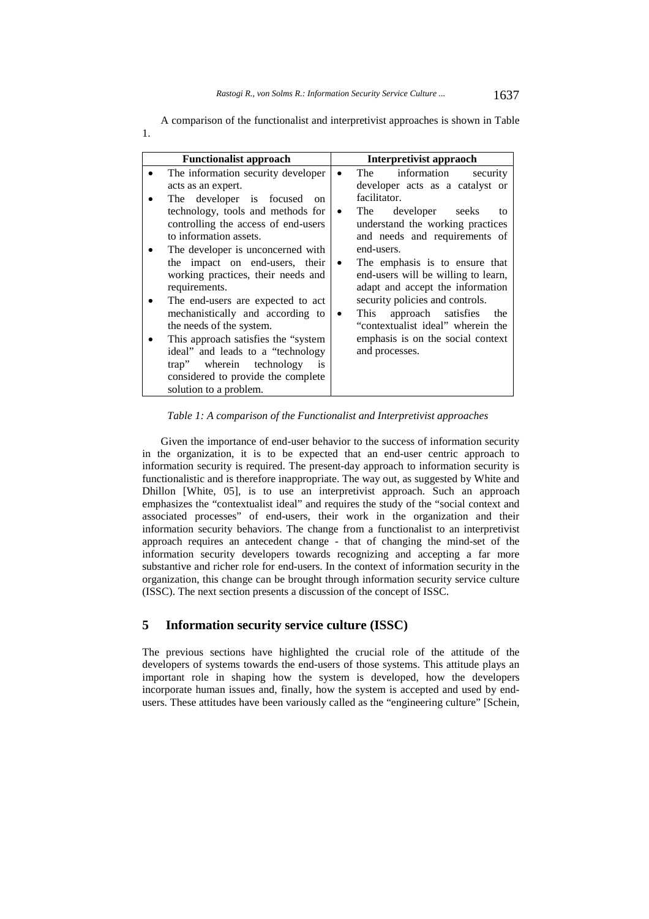| <b>Functionalist approach</b>                                                                                                                                                                                                                                                                                                                                                                                                                        | Interpretivist appraoch                                                                                                                                                                                                                                                                                                                                                                                                                 |
|------------------------------------------------------------------------------------------------------------------------------------------------------------------------------------------------------------------------------------------------------------------------------------------------------------------------------------------------------------------------------------------------------------------------------------------------------|-----------------------------------------------------------------------------------------------------------------------------------------------------------------------------------------------------------------------------------------------------------------------------------------------------------------------------------------------------------------------------------------------------------------------------------------|
| The information security developer                                                                                                                                                                                                                                                                                                                                                                                                                   | information<br>The<br>security                                                                                                                                                                                                                                                                                                                                                                                                          |
| acts as an expert.<br>The developer is focused<br>on                                                                                                                                                                                                                                                                                                                                                                                                 | developer acts as a catalyst or<br>facilitator.                                                                                                                                                                                                                                                                                                                                                                                         |
| technology, tools and methods for<br>controlling the access of end-users<br>to information assets.<br>The developer is unconcerned with<br>the impact on end-users, their<br>working practices, their needs and<br>requirements.<br>The end-users are expected to act<br>mechanistically and according to<br>the needs of the system.<br>This approach satisfies the "system"<br>ideal" and leads to a "technology<br>trap" wherein technology<br>is | The<br>developer seeks<br>$\bullet$<br>to<br>understand the working practices<br>and needs and requirements of<br>end-users.<br>The emphasis is to ensure that<br>$\bullet$<br>end-users will be willing to learn,<br>adapt and accept the information<br>security policies and controls.<br>approach satisfies<br>This<br>the<br>$\bullet$<br>"contextualist ideal" wherein the<br>emphasis is on the social context<br>and processes. |
| considered to provide the complete<br>solution to a problem.                                                                                                                                                                                                                                                                                                                                                                                         |                                                                                                                                                                                                                                                                                                                                                                                                                                         |

A comparison of the functionalist and interpretivist approaches is shown in Table 1.

*Table 1: A comparison of the Functionalist and Interpretivist approaches* 

Given the importance of end-user behavior to the success of information security in the organization, it is to be expected that an end-user centric approach to information security is required. The present-day approach to information security is functionalistic and is therefore inappropriate. The way out, as suggested by White and Dhillon [White, 05], is to use an interpretivist approach. Such an approach emphasizes the "contextualist ideal" and requires the study of the "social context and associated processes" of end-users, their work in the organization and their information security behaviors. The change from a functionalist to an interpretivist approach requires an antecedent change - that of changing the mind-set of the information security developers towards recognizing and accepting a far more substantive and richer role for end-users. In the context of information security in the organization, this change can be brought through information security service culture (ISSC). The next section presents a discussion of the concept of ISSC.

### **5 Information security service culture (ISSC)**

The previous sections have highlighted the crucial role of the attitude of the developers of systems towards the end-users of those systems. This attitude plays an important role in shaping how the system is developed, how the developers incorporate human issues and, finally, how the system is accepted and used by endusers. These attitudes have been variously called as the "engineering culture" [Schein,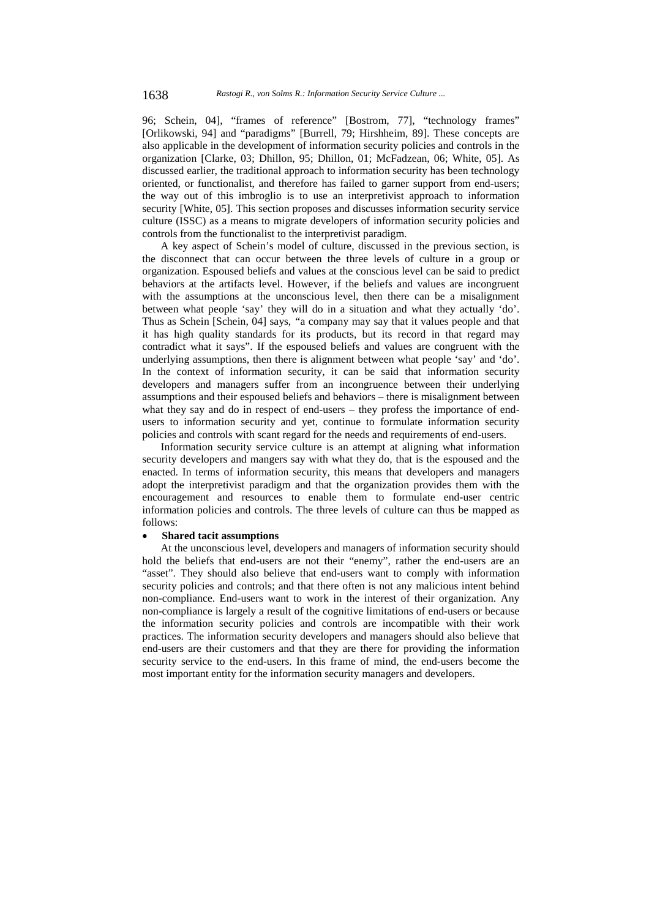96; Schein, 04], "frames of reference" [Bostrom, 77], "technology frames" [Orlikowski, 94] and "paradigms" [Burrell, 79; Hirshheim, 89]. These concepts are also applicable in the development of information security policies and controls in the organization [Clarke, 03; Dhillon, 95; Dhillon, 01; McFadzean, 06; White, 05]. As discussed earlier, the traditional approach to information security has been technology oriented, or functionalist, and therefore has failed to garner support from end-users; the way out of this imbroglio is to use an interpretivist approach to information security [White, 05]. This section proposes and discusses information security service culture (ISSC) as a means to migrate developers of information security policies and controls from the functionalist to the interpretivist paradigm.

A key aspect of Schein's model of culture, discussed in the previous section, is the disconnect that can occur between the three levels of culture in a group or organization. Espoused beliefs and values at the conscious level can be said to predict behaviors at the artifacts level. However, if the beliefs and values are incongruent with the assumptions at the unconscious level, then there can be a misalignment between what people 'say' they will do in a situation and what they actually 'do'. Thus as Schein [Schein, 04] says, *"*a company may say that it values people and that it has high quality standards for its products, but its record in that regard may contradict what it says". If the espoused beliefs and values are congruent with the underlying assumptions, then there is alignment between what people 'say' and 'do'. In the context of information security, it can be said that information security developers and managers suffer from an incongruence between their underlying assumptions and their espoused beliefs and behaviors – there is misalignment between what they say and do in respect of end-users – they profess the importance of endusers to information security and yet, continue to formulate information security policies and controls with scant regard for the needs and requirements of end-users.

Information security service culture is an attempt at aligning what information security developers and mangers say with what they do, that is the espoused and the enacted. In terms of information security, this means that developers and managers adopt the interpretivist paradigm and that the organization provides them with the encouragement and resources to enable them to formulate end-user centric information policies and controls. The three levels of culture can thus be mapped as follows:

#### **Shared tacit assumptions**

At the unconscious level, developers and managers of information security should hold the beliefs that end-users are not their "enemy", rather the end-users are an "asset". They should also believe that end-users want to comply with information security policies and controls; and that there often is not any malicious intent behind non-compliance. End-users want to work in the interest of their organization. Any non-compliance is largely a result of the cognitive limitations of end-users or because the information security policies and controls are incompatible with their work practices. The information security developers and managers should also believe that end-users are their customers and that they are there for providing the information security service to the end-users. In this frame of mind, the end-users become the most important entity for the information security managers and developers.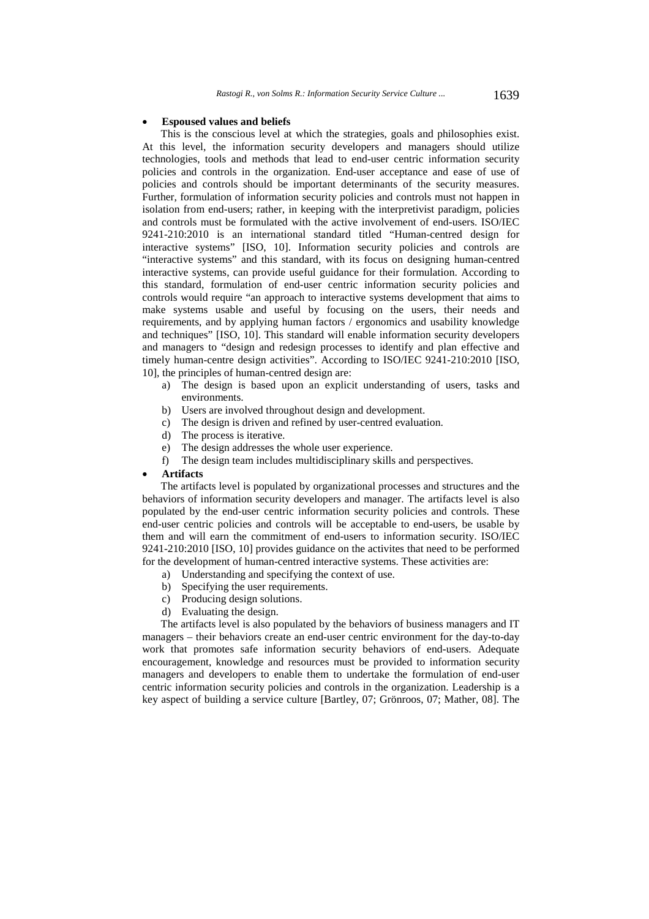#### **Espoused values and beliefs**

This is the conscious level at which the strategies, goals and philosophies exist. At this level, the information security developers and managers should utilize technologies, tools and methods that lead to end-user centric information security policies and controls in the organization. End-user acceptance and ease of use of policies and controls should be important determinants of the security measures. Further, formulation of information security policies and controls must not happen in isolation from end-users; rather, in keeping with the interpretivist paradigm, policies and controls must be formulated with the active involvement of end-users. ISO/IEC 9241-210:2010 is an international standard titled "Human-centred design for interactive systems" [ISO, 10]. Information security policies and controls are "interactive systems" and this standard, with its focus on designing human-centred interactive systems, can provide useful guidance for their formulation. According to this standard, formulation of end-user centric information security policies and controls would require "an approach to interactive systems development that aims to make systems usable and useful by focusing on the users, their needs and requirements, and by applying human factors / ergonomics and usability knowledge and techniques" [ISO, 10]. This standard will enable information security developers and managers to "design and redesign processes to identify and plan effective and timely human-centre design activities". According to ISO/IEC 9241-210:2010 [ISO, 10], the principles of human-centred design are:

- a) The design is based upon an explicit understanding of users, tasks and environments.
- b) Users are involved throughout design and development.
- c) The design is driven and refined by user-centred evaluation.
- d) The process is iterative.
- e) The design addresses the whole user experience.
- f) The design team includes multidisciplinary skills and perspectives.

#### **Artifacts**

The artifacts level is populated by organizational processes and structures and the behaviors of information security developers and manager. The artifacts level is also populated by the end-user centric information security policies and controls. These end-user centric policies and controls will be acceptable to end-users, be usable by them and will earn the commitment of end-users to information security. ISO/IEC 9241-210:2010 [ISO, 10] provides guidance on the activites that need to be performed for the development of human-centred interactive systems. These activities are:

- a) Understanding and specifying the context of use.
- b) Specifying the user requirements.
- c) Producing design solutions.
- d) Evaluating the design.

The artifacts level is also populated by the behaviors of business managers and IT managers – their behaviors create an end-user centric environment for the day-to-day work that promotes safe information security behaviors of end-users. Adequate encouragement, knowledge and resources must be provided to information security managers and developers to enable them to undertake the formulation of end-user centric information security policies and controls in the organization. Leadership is a key aspect of building a service culture [Bartley, 07; Grönroos, 07; Mather, 08]. The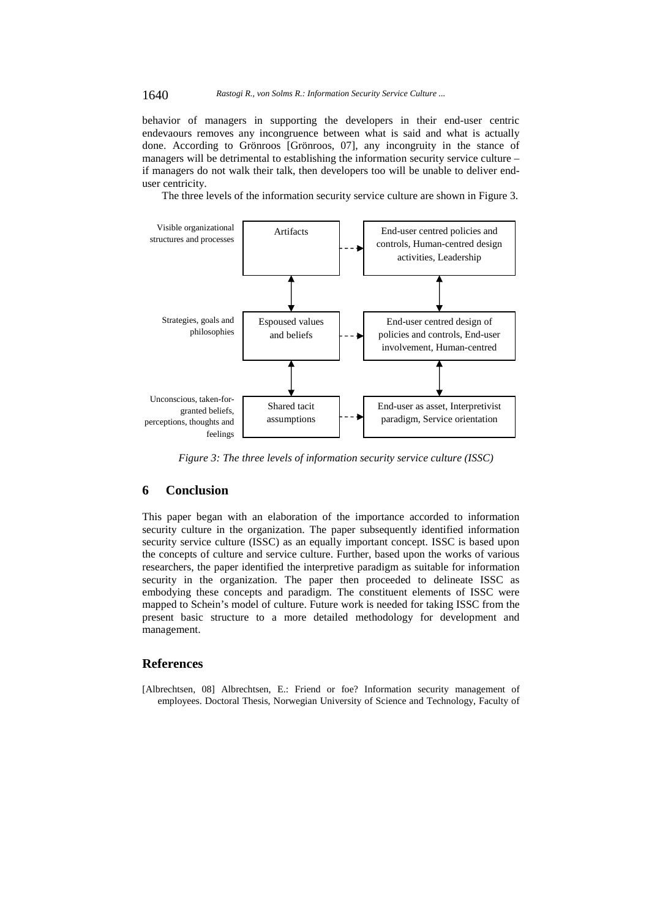behavior of managers in supporting the developers in their end-user centric endevaours removes any incongruence between what is said and what is actually done. According to Grönroos [Grönroos, 07], any incongruity in the stance of managers will be detrimental to establishing the information security service culture – if managers do not walk their talk, then developers too will be unable to deliver enduser centricity.

The three levels of the information security service culture are shown in Figure 3.



*Figure 3: The three levels of information security service culture (ISSC)*

### **6 Conclusion**

This paper began with an elaboration of the importance accorded to information security culture in the organization. The paper subsequently identified information security service culture (ISSC) as an equally important concept. ISSC is based upon the concepts of culture and service culture. Further, based upon the works of various researchers, the paper identified the interpretive paradigm as suitable for information security in the organization. The paper then proceeded to delineate ISSC as embodying these concepts and paradigm. The constituent elements of ISSC were mapped to Schein's model of culture. Future work is needed for taking ISSC from the present basic structure to a more detailed methodology for development and management.

### **References**

[Albrechtsen, 08] Albrechtsen, E.: Friend or foe? Information security management of employees. Doctoral Thesis, Norwegian University of Science and Technology, Faculty of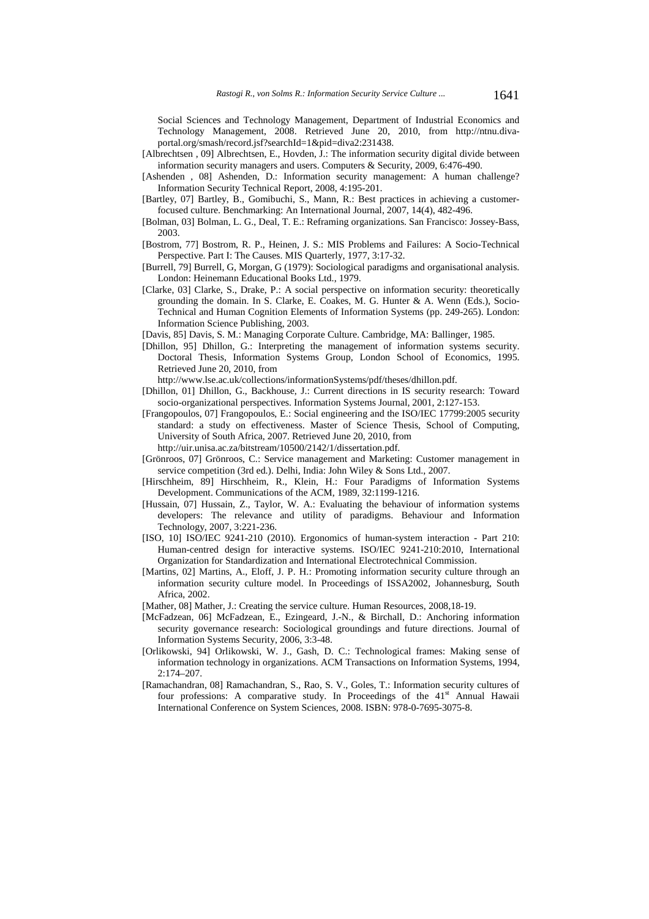Social Sciences and Technology Management, Department of Industrial Economics and Technology Management, 2008. Retrieved June 20, 2010, from http://ntnu.divaportal.org/smash/record.jsf?searchId=1&pid=diva2:231438.

- [Albrechtsen , 09] Albrechtsen, E., Hovden, J.: The information security digital divide between information security managers and users. Computers & Security, 2009, 6:476-490.
- [Ashenden , 08] Ashenden, D.: Information security management: A human challenge? Information Security Technical Report, 2008, 4:195-201.
- [Bartley, 07] Bartley, B., Gomibuchi, S., Mann, R.: Best practices in achieving a customerfocused culture. Benchmarking: An International Journal, 2007, 14(4), 482-496.
- [Bolman, 03] Bolman, L. G., Deal, T. E.: Reframing organizations. San Francisco: Jossey-Bass, 2003.
- [Bostrom, 77] Bostrom, R. P., Heinen, J. S.: MIS Problems and Failures: A Socio-Technical Perspective. Part I: The Causes. MIS Quarterly, 1977, 3:17-32.
- [Burrell, 79] Burrell, G, Morgan, G (1979): Sociological paradigms and organisational analysis. London: Heinemann Educational Books Ltd., 1979.
- [Clarke, 03] Clarke, S., Drake, P.: A social perspective on information security: theoretically grounding the domain. In S. Clarke, E. Coakes, M. G. Hunter & A. Wenn (Eds.), Socio-Technical and Human Cognition Elements of Information Systems (pp. 249-265). London: Information Science Publishing, 2003.
- [Davis, 85] Davis, S. M.: Managing Corporate Culture. Cambridge, MA: Ballinger, 1985.
- [Dhillon, 95] Dhillon, G.: Interpreting the management of information systems security. Doctoral Thesis, Information Systems Group, London School of Economics, 1995. Retrieved June 20, 2010, from
	- http://www.lse.ac.uk/collections/informationSystems/pdf/theses/dhillon.pdf.
- [Dhillon, 01] Dhillon, G., Backhouse, J.: Current directions in IS security research: Toward socio-organizational perspectives. Information Systems Journal, 2001, 2:127-153.
- [Frangopoulos, 07] Frangopoulos, E.: Social engineering and the ISO/IEC 17799:2005 security standard: a study on effectiveness. Master of Science Thesis, School of Computing, University of South Africa, 2007. Retrieved June 20, 2010, from http://uir.unisa.ac.za/bitstream/10500/2142/1/dissertation.pdf.
- [Grönroos, 07] Grönroos, C.: Service management and Marketing: Customer management in service competition (3rd ed.). Delhi, India: John Wiley & Sons Ltd., 2007.
- [Hirschheim, 89] Hirschheim, R., Klein, H.: Four Paradigms of Information Systems Development. Communications of the ACM, 1989, 32:1199-1216.
- [Hussain, 07] Hussain, Z., Taylor, W. A.: Evaluating the behaviour of information systems developers: The relevance and utility of paradigms. Behaviour and Information Technology, 2007, 3:221-236.
- [ISO, 10] ISO/IEC 9241-210 (2010). Ergonomics of human-system interaction Part 210: Human-centred design for interactive systems. ISO/IEC 9241-210:2010, International Organization for Standardization and International Electrotechnical Commission.
- [Martins, 02] Martins, A., Eloff, J. P. H.: Promoting information security culture through an information security culture model. In Proceedings of ISSA2002, Johannesburg, South Africa, 2002.
- [Mather, 08] Mather, J.: Creating the service culture. Human Resources, 2008,18-19.
- [McFadzean, 06] McFadzean, E., Ezingeard, J.-N., & Birchall, D.: Anchoring information security governance research: Sociological groundings and future directions. Journal of Information Systems Security, 2006, 3:3-48.
- [Orlikowski, 94] Orlikowski, W. J., Gash, D. C.: Technological frames: Making sense of information technology in organizations. ACM Transactions on Information Systems, 1994, 2:174–207.
- [Ramachandran, 08] Ramachandran, S., Rao, S. V., Goles, T.: Information security cultures of four professions: A comparative study. In Proceedings of the 41<sup>st</sup> Annual Hawaii International Conference on System Sciences, 2008. ISBN: 978-0-7695-3075-8.